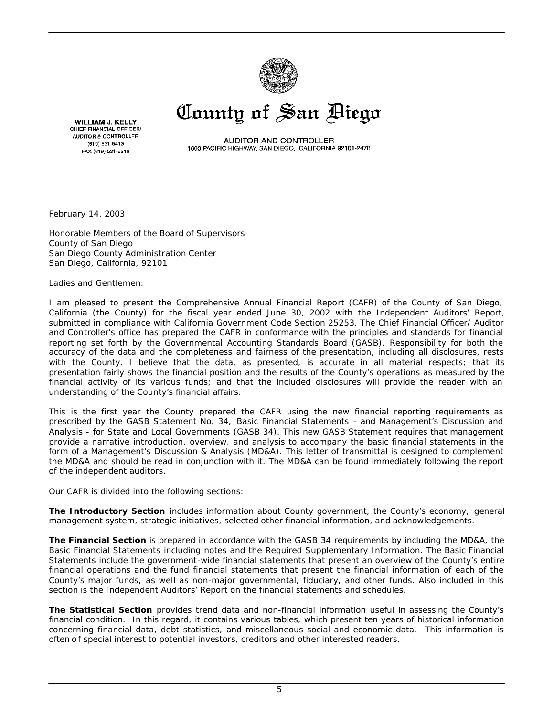

# County of San Diego

**WILLIAM J. KELLY** CHIEF FINANCIAL OFFICER/ AUDITOR & CONTROLLER (619) 531-5413 FAX (619) 531-5219

AUDITOR AND CONTROLLER 1600 PACIFIC HIGHWAY, SAN DIEGO, CALIFORNIA 92101-2478

February 14, 2003

Honorable Members of the Board of Supervisors County of San Diego San Diego County Administration Center San Diego, California, 92101

Ladies and Gentlemen:

I am pleased to present the Comprehensive Annual Financial Report (CAFR) of the County of San Diego, California (the County) for the fiscal year ended June 30, 2002 with the Independent Auditors' Report, submitted in compliance with California Government Code Section 25253. The Chief Financial Officer/ Auditor and Controller's office has prepared the CAFR in conformance with the principles and standards for financial reporting set forth by the Governmental Accounting Standards Board (GASB). Responsibility for both the accuracy of the data and the completeness and fairness of the presentation, including all disclosures, rests with the County. I believe that the data, as presented, is accurate in all material respects; that its presentation fairly shows the financial position and the results of the County's operations as measured by the financial activity of its various funds; and that the included disclosures will provide the reader with an understanding of the County's financial affairs.

This is the first year the County prepared the CAFR using the new financial reporting requirements as prescribed by the GASB Statement No. 34, *Basic Financial Statements - and Management's Discussion and Analysis - for State and Local Governments* (GASB 34). This new GASB Statement requires that management provide a narrative introduction, overview, and analysis to accompany the basic financial statements in the form of a Management's Discussion & Analysis (MD&A). This letter of transmittal is designed to complement the MD&A and should be read in conjunction with it. The MD&A can be found immediately following the report of the independent auditors.

Our CAFR is divided into the following sections:

*The Introductory Section* includes information about County government, the County's economy, general management system, strategic initiatives, selected other financial information, and acknowledgements.

*The Financial Section* is prepared in accordance with the GASB 34 requirements by including the MD&A, the Basic Financial Statements including notes and the Required Supplementary Information. The Basic Financial Statements include the government-wide financial statements that present an overview of the County's entire financial operations and the fund financial statements that present the financial information of each of the County's major funds, as well as non-major governmental, fiduciary, and other funds. Also included in this section is the Independent Auditors' Report on the financial statements and schedules.

*The Statistical Section* provides trend data and non-financial information useful in assessing the County's financial condition. In this regard, it contains various tables, which present ten years of historical information concerning financial data, debt statistics, and miscellaneous social and economic data. This information is often of special interest to potential investors, creditors and other interested readers.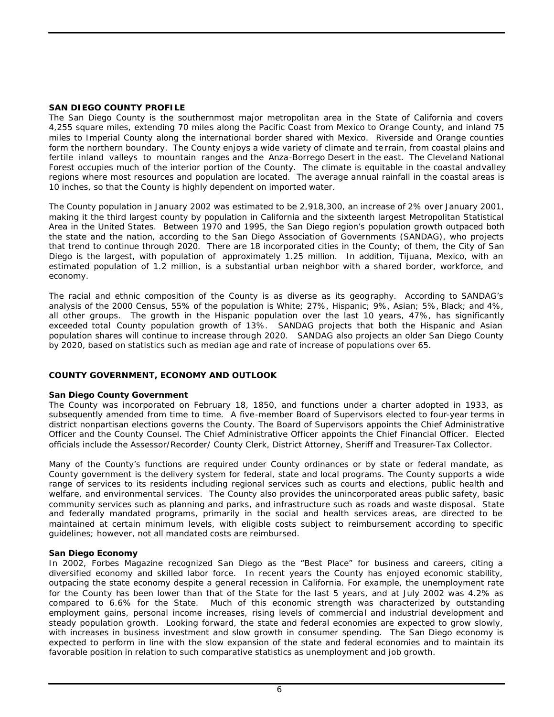#### **SAN DIEGO COUNTY PROFILE**

The San Diego County is the southernmost major metropolitan area in the State of California and covers 4,255 square miles, extending 70 miles along the Pacific Coast from Mexico to Orange County, and inland 75 miles to Imperial County along the international border shared with Mexico. Riverside and Orange counties form the northern boundary. The County enjoys a wide variety of climate and te rrain, from coastal plains and fertile inland valleys to mountain ranges and the Anza-Borrego Desert in the east. The Cleveland National Forest occupies much of the interior portion of the County. The climate is equitable in the coastal andvalley regions where most resources and population are located. The average annual rainfall in the coastal areas is 10 inches, so that the County is highly dependent on imported water.

The County population in January 2002 was estimated to be 2,918,300, an increase of 2% over January 2001, making it the third largest county by population in California and the sixteenth largest Metropolitan Statistical Area in the United States. Between 1970 and 1995, the San Diego region's population growth outpaced both the state and the nation, according to the San Diego Association of Governments (SANDAG), who projects that trend to continue through 2020. There are 18 incorporated cities in the County; of them, the City of San Diego is the largest, with population of approximately 1.25 million. In addition, Tijuana, Mexico, with an estimated population of 1.2 million, is a substantial urban neighbor with a shared border, workforce, and economy.

The racial and ethnic composition of the County is as diverse as its geography. According to SANDAG's analysis of the 2000 Census, 55% of the population is White; 27%, Hispanic; 9%, Asian; 5%, Black; and 4%, all other groups. The growth in the Hispanic population over the last 10 years, 47%, has significantly exceeded total County population growth of 13%. SANDAG projects that both the Hispanic and Asian population shares will continue to increase through 2020. SANDAG also projects an older San Diego County by 2020, based on statistics such as median age and rate of increase of populations over 65.

# **COUNTY GOVERNMENT, ECONOMY AND OUTLOOK**

# **San Diego County Government**

The County was incorporated on February 18, 1850, and functions under a charter adopted in 1933, as subsequently amended from time to time. A five-member Board of Supervisors elected to four-year terms in district nonpartisan elections governs the County. The Board of Supervisors appoints the Chief Administrative Officer and the County Counsel. The Chief Administrative Officer appoints the Chief Financial Officer. Elected officials include the Assessor/Recorder/ County Clerk, District Attorney, Sheriff and Treasurer-Tax Collector.

Many of the County's functions are required under County ordinances or by state or federal mandate, as County government is the delivery system for federal, state and local programs. The County supports a wide range of services to its residents including regional services such as courts and elections, public health and welfare, and environmental services. The County also provides the unincorporated areas public safety, basic community services such as planning and parks, and infrastructure such as roads and waste disposal. State and federally mandated programs, primarily in the social and health services areas, are directed to be maintained at certain minimum levels, with eligible costs subject to reimbursement according to specific guidelines; however, not all mandated costs are reimbursed.

#### **San Diego Economy**

In 2002, Forbes Magazine recognized San Diego as the "Best Place" for business and careers, citing a diversified economy and skilled labor force. In recent years the County has enjoyed economic stability, outpacing the state economy despite a general recession in California. For example, the unemployment rate for the County has been lower than that of the State for the last 5 years, and at July 2002 was 4.2% as compared to 6.6% for the State. Much of this economic strength was characterized by outstanding employment gains, personal income increases, rising levels of commercial and industrial development and steady population growth. Looking forward, the state and federal economies are expected to grow slowly, with increases in business investment and slow growth in consumer spending. The San Diego economy is expected to perform in line with the slow expansion of the state and federal economies and to maintain its favorable position in relation to such comparative statistics as unemployment and job growth.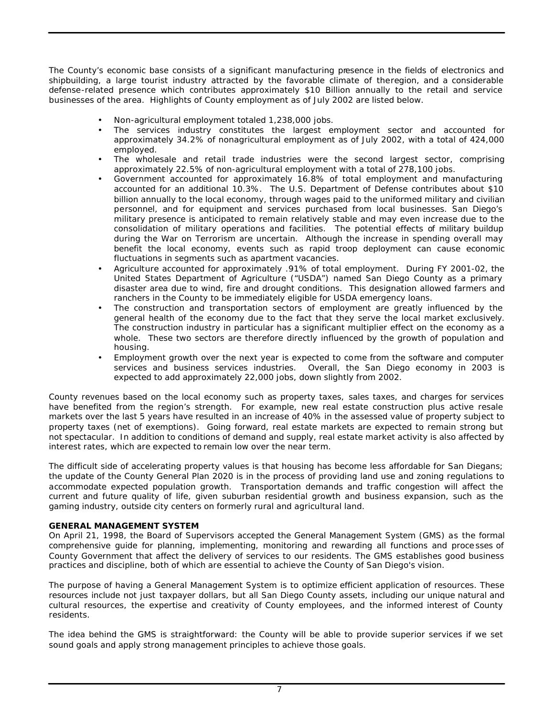The County's economic base consists of a significant manufacturing presence in the fields of electronics and shipbuilding, a large tourist industry attracted by the favorable climate of theregion, and a considerable defense-related presence which contributes approximately \$10 Billion annually to the retail and service businesses of the area. Highlights of County employment as of July 2002 are listed below.

- Non-agricultural employment totaled 1,238,000 jobs.
- The services industry constitutes the largest employment sector and accounted for approximately 34.2% of nonagricultural employment as of July 2002, with a total of 424,000 employed.
- The wholesale and retail trade industries were the second largest sector, comprising approximately 22.5% of non-agricultural employment with a total of 278,100 jobs.
- Government accounted for approximately 16.8% of total employment and manufacturing accounted for an additional 10.3%. The U.S. Department of Defense contributes about \$10 billion annually to the local economy, through wages paid to the uniformed military and civilian personnel, and for equipment and services purchased from local businesses. San Diego's military presence is anticipated to remain relatively stable and may even increase due to the consolidation of military operations and facilities. The potential effects of military buildup during the War on Terrorism are uncertain. Although the increase in spending overall may benefit the local economy, events such as rapid troop deployment can cause economic fluctuations in segments such as apartment vacancies.
- Agriculture accounted for approximately .91% of total employment. During FY 2001-02, the United States Department of Agriculture ("USDA") named San Diego County as a primary disaster area due to wind, fire and drought conditions. This designation allowed farmers and ranchers in the County to be immediately eligible for USDA emergency loans.
- The construction and transportation sectors of employment are greatly influenced by the general health of the economy due to the fact that they serve the local market exclusively. The construction industry in particular has a significant multiplier effect on the economy as a whole. These two sectors are therefore directly influenced by the growth of population and housing.
- Employment growth over the next year is expected to come from the software and computer services and business services industries. Overall, the San Diego economy in 2003 is expected to add approximately 22,000 jobs, down slightly from 2002.

County revenues based on the local economy such as property taxes, sales taxes, and charges for services have benefited from the region's strength. For example, new real estate construction plus active resale markets over the last 5 years have resulted in an increase of 40% in the assessed value of property subject to property taxes (net of exemptions). Going forward, real estate markets are expected to remain strong but not spectacular. In addition to conditions of demand and supply, real estate market activity is also affected by interest rates, which are expected to remain low over the near term.

The difficult side of accelerating property values is that housing has become less affordable for San Diegans; the update of the County General Plan 2020 is in the process of providing land use and zoning regulations to accommodate expected population growth. Transportation demands and traffic congestion will affect the current and future quality of life, given suburban residential growth and business expansion, such as the gaming industry, outside city centers on formerly rural and agricultural land.

# **GENERAL MANAGEMENT SYSTEM**

On April 21, 1998, the Board of Supervisors accepted the General Management System (GMS) as the formal comprehensive guide for planning, implementing, monitoring and rewarding all functions and proce sses of County Government that affect the delivery of services to our residents. The GMS establishes good business practices and discipline, both of which are essential to achieve the County of San Diego's vision.

The purpose of having a General Management System is to optimize efficient application of resources. These resources include not just taxpayer dollars, but all San Diego County assets, including our unique natural and cultural resources, the expertise and creativity of County employees, and the informed interest of County residents.

The idea behind the GMS is straightforward: the County will be able to provide superior services if we set sound goals and apply strong management principles to achieve those goals.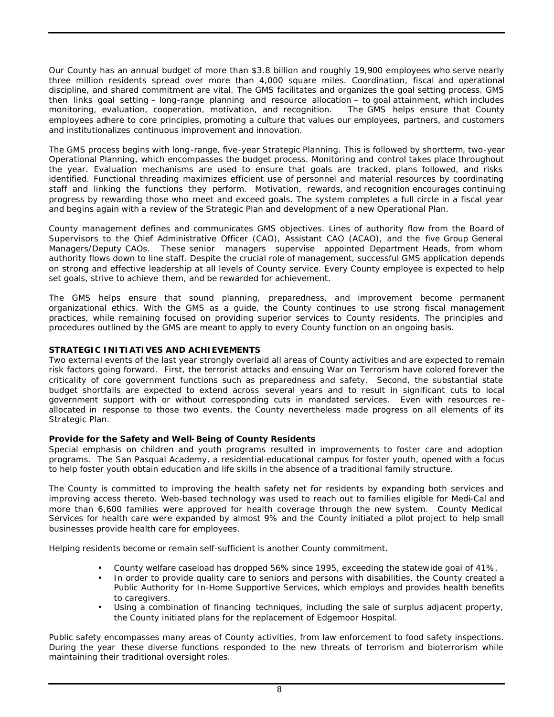Our County has an annual budget of more than \$3.8 billion and roughly 19,900 employees who serve nearly three million residents spread over more than 4,000 square miles. Coordination, fiscal and operational discipline, and shared commitment are vital. The GMS facilitates and organizes the goal setting process. GMS then links goal setting – long-range planning and resource allocation – to goal attainment, which includes monitoring, evaluation, cooperation, motivation, and recognition. The GMS helps ensure that County employees adhere to core principles, promoting a culture that values our employees, partners, and customers and institutionalizes continuous improvement and innovation.

The GMS process begins with long-range, five-year Strategic Planning. This is followed by shortterm, two-year Operational Planning, which encompasses the budget process. Monitoring and control takes place throughout the year. Evaluation mechanisms are used to ensure that goals are tracked, plans followed, and risks identified. Functional threading maximizes efficient use of personnel and material resources by coordinating staff and linking the functions they perform. Motivation, rewards, and recognition encourages continuing progress by rewarding those who meet and exceed goals. The system completes a full circle in a fiscal year and begins again with a review of the Strategic Plan and development of a new Operational Plan.

County management defines and communicates GMS objectives. Lines of authority flow from the Board of Supervisors to the Chief Administrative Officer (CAO), Assistant CAO (ACAO), and the five Group General Managers/Deputy CAOs. These senior managers supervise appointed Department Heads, from whom authority flows down to line staff. Despite the crucial role of management, successful GMS application depends on strong and effective leadership at all levels of County service. Every County employee is expected to help set goals, strive to achieve them, and be rewarded for achievement.

The GMS helps ensure that sound planning, preparedness, and improvement become permanent organizational ethics. With the GMS as a guide, the County continues to use strong fiscal management practices, while remaining focused on providing superior services to County residents. The principles and procedures outlined by the GMS are meant to apply to every County function on an ongoing basis.

# **STRATEGIC INITIATIVES AND ACHIEVEMENTS**

Two external events of the last year strongly overlaid all areas of County activities and are expected to remain risk factors going forward. First, the terrorist attacks and ensuing War on Terrorism have colored forever the criticality of core government functions such as preparedness and safety. Second, the substantial state budget shortfalls are expected to extend across several years and to result in significant cuts to local government support with or without corresponding cuts in mandated services. Even with resources re allocated in response to those two events, the County nevertheless made progress on all elements of its Strategic Plan.

# *Provide for the Safety and Well-Being of County Residents*

Special emphasis on children and youth programs resulted in improvements to foster care and adoption programs. The San Pasqual Academy, a residential-educational campus for foster youth, opened with a focus to help foster youth obtain education and life skills in the absence of a traditional family structure.

The County is committed to improving the health safety net for residents by expanding both services and improving access thereto. Web-based technology was used to reach out to families eligible for Medi-Cal and more than 6,600 families were approved for health coverage through the new system. County Medical Services for health care were expanded by almost 9% and the County initiated a pilot project to help small businesses provide health care for employees.

Helping residents become or remain self-sufficient is another County commitment.

- County welfare caseload has dropped 56% since 1995, exceeding the statewide goal of 41%.
- In order to provide quality care to seniors and persons with disabilities, the County created a Public Authority for In-Home Supportive Services, which employs and provides health benefits to caregivers.
- Using a combination of financing techniques, including the sale of surplus adjacent property, the County initiated plans for the replacement of Edgemoor Hospital.

Public safety encompasses many areas of County activities, from law enforcement to food safety inspections. During the year these diverse functions responded to the new threats of terrorism and bioterrorism while maintaining their traditional oversight roles.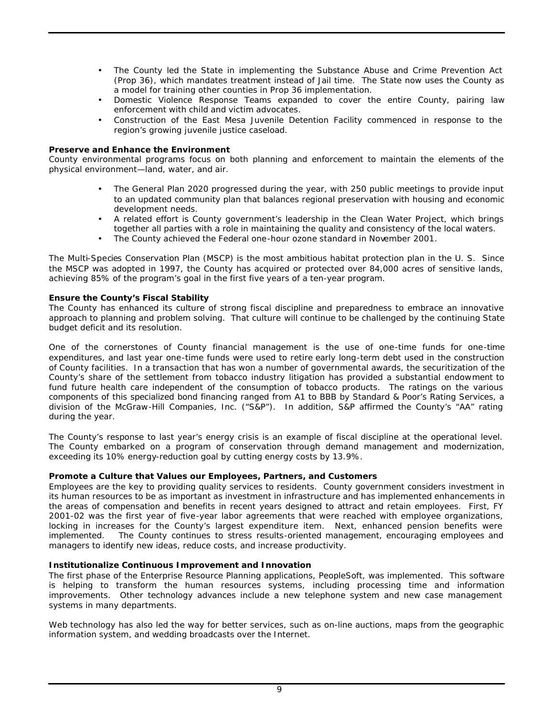- The County led the State in implementing the Substance Abuse and Crime Prevention Act (Prop 36), which mandates treatment instead of Jail time. The State now uses the County as a model for training other counties in Prop 36 implementation.
- Domestic Violence Response Teams expanded to cover the entire County, pairing law enforcement with child and victim advocates.
- Construction of the East Mesa Juvenile Detention Facility commenced in response to the region's growing juvenile justice caseload.

#### *Preserve and Enhance the Environment*

County environmental programs focus on both planning and enforcement to maintain the elements of the physical environment—land, water, and air.

- The General Plan 2020 progressed during the year, with 250 public meetings to provide input to an updated community plan that balances regional preservation with housing and economic development needs.
- A related effort is County government's leadership in the Clean Water Project, which brings together all parties with a role in maintaining the quality and consistency of the local waters.
- The County achieved the Federal one-hour ozone standard in November 2001.

The Multi-Species Conservation Plan (MSCP) is the most ambitious habitat protection plan in the U. S. Since the MSCP was adopted in 1997, the County has acquired or protected over 84,000 acres of sensitive lands, achieving 85% of the program's goal in the first five years of a ten-year program.

#### *Ensure the County's Fiscal Stability*

The County has enhanced its culture of strong fiscal discipline and preparedness to embrace an innovative approach to planning and problem solving. That culture will continue to be challenged by the continuing State budget deficit and its resolution.

One of the cornerstones of County financial management is the use of one-time funds for one-time expenditures, and last year one-time funds were used to retire early long-term debt used in the construction of County facilities. In a transaction that has won a number of governmental awards, the securitization of the County's share of the settlement from tobacco industry litigation has provided a substantial endowment to fund future health care independent of the consumption of tobacco products. The ratings on the various components of this specialized bond financing ranged from A1 to BBB by Standard & Poor's Rating Services, a division of the McGraw-Hill Companies, Inc. ("S&P"). In addition, S&P affirmed the County's "AA" rating during the year.

The County's response to last year's energy crisis is an example of fiscal discipline at the operational level. The County embarked on a program of conservation through demand management and modernization, exceeding its 10% energy-reduction goal by cutting energy costs by 13.9%.

# *Promote a Culture that Values our Employees, Partners, and Customers*

Employees are the key to providing quality services to residents. County government considers investment in its human resources to be as important as investment in infrastructure and has implemented enhancements in the areas of compensation and benefits in recent years designed to attract and retain employees. First, FY 2001-02 was the first year of five-year labor agreements that were reached with employee organizations, locking in increases for the County's largest expenditure item. Next, enhanced pension benefits were implemented. The County continues to stress results-oriented management, encouraging employees and managers to identify new ideas, reduce costs, and increase productivity.

# *Institutionalize Continuous Improvement and Innovation*

The first phase of the Enterprise Resource Planning applications, PeopleSoft, was implemented. This software is helping to transform the human resources systems, including processing time and information improvements. Other technology advances include a new telephone system and new case management systems in many departments.

Web technology has also led the way for better services, such as on-line auctions, maps from the geographic information system, and wedding broadcasts over the Internet.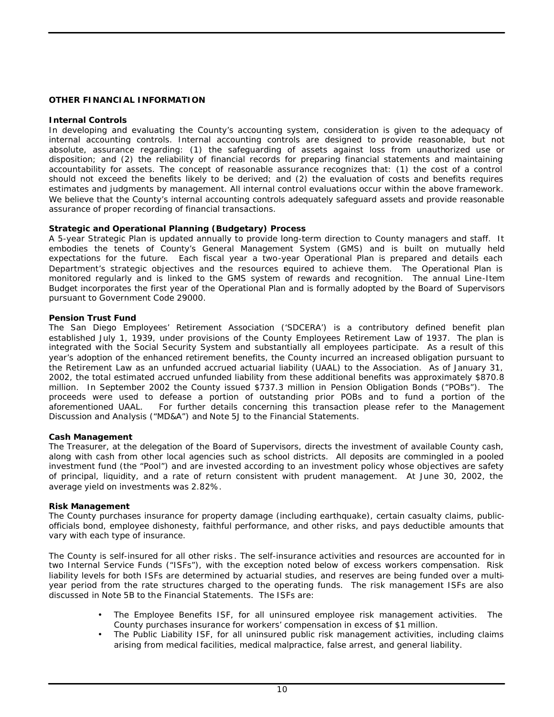# **OTHER FINANCIAL INFORMATION**

#### **Internal Controls**

In developing and evaluating the County's accounting system, consideration is given to the adequacy of internal accounting controls. Internal accounting controls are designed to provide reasonable, but not absolute, assurance regarding: (1) the safeguarding of assets against loss from unauthorized use or disposition; and (2) the reliability of financial records for preparing financial statements and maintaining accountability for assets. The concept of reasonable assurance recognizes that: (1) the cost of a control should not exceed the benefits likely to be derived; and (2) the evaluation of costs and benefits requires estimates and judgments by management. All internal control evaluations occur within the above framework. We believe that the County's internal accounting controls adequately safeguard assets and provide reasonable assurance of proper recording of financial transactions.

#### **Strategic and Operational Planning (Budgetary) Process**

A 5-year Strategic Plan is updated annually to provide long-term direction to County managers and staff. It embodies the tenets of County's General Management System (GMS) and is built on mutually held expectations for the future. Each fiscal year a two-year Operational Plan is prepared and details each Department's strategic objectives and the resources equired to achieve them. The Operational Plan is monitored regularly and is linked to the GMS system of rewards and recognition. The annual Line-Item Budget incorporates the first year of the Operational Plan and is formally adopted by the Board of Supervisors pursuant to Government Code 29000.

#### **Pension Trust Fund**

The San Diego Employees' Retirement Association ('SDCERA') is a contributory defined benefit plan established July 1, 1939, under provisions of the County Employees Retirement Law of 1937. The plan is integrated with the Social Security System and substantially all employees participate. As a result of this year's adoption of the enhanced retirement benefits, the County incurred an increased obligation pursuant to the Retirement Law as an unfunded accrued actuarial liability (UAAL) to the Association. As of January 31, 2002, the total estimated accrued unfunded liability from these additional benefits was approximately \$870.8 million. In September 2002 the County issued \$737.3 million in Pension Obligation Bonds ("POBs"). The proceeds were used to defease a portion of outstanding prior POBs and to fund a portion of the aforementioned UAAL. For further details concerning this transaction please refer to the Management For further details concerning this transaction please refer to the Management Discussion and Analysis ("MD&A") and Note 5J to the Financial Statements.

#### **Cash Management**

The Treasurer, at the delegation of the Board of Supervisors, directs the investment of available County cash, along with cash from other local agencies such as school districts. All deposits are commingled in a pooled investment fund (the "Pool") and are invested according to an investment policy whose objectives are safety of principal, liquidity, and a rate of return consistent with prudent management. At June 30, 2002, the average yield on investments was 2.82%.

#### **Risk Management**

The County purchases insurance for property damage (including earthquake), certain casualty claims, publicofficials bond, employee dishonesty, faithful performance, and other risks, and pays deductible amounts that vary with each type of insurance.

The County is self-insured for all other risks . The self-insurance activities and resources are accounted for in two Internal Service Funds ("ISFs"), with the exception noted below of excess workers compensation. Risk liability levels for both ISFs are determined by actuarial studies, and reserves are being funded over a multiyear period from the rate structures charged to the operating funds. The risk management ISFs are also discussed in Note 5B to the Financial Statements. The ISFs are:

- The Employee Benefits ISF, for all uninsured employee risk management activities. The County purchases insurance for workers' compensation in excess of \$1 million.
- The Public Liability ISF, for all uninsured public risk management activities, including claims arising from medical facilities, medical malpractice, false arrest, and general liability.